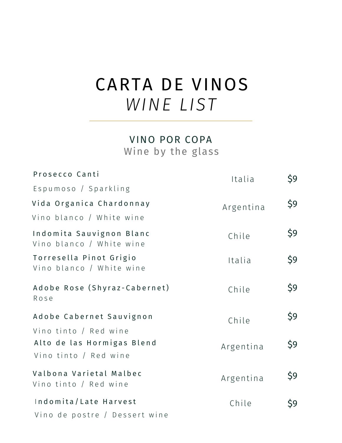# CARTA DE VINOS *WINE LIST*

### VINO POR COPA Wine by the glass

| Prosecco Canti                                         | Italia    | \$9 |
|--------------------------------------------------------|-----------|-----|
| Espumoso / Sparkling                                   |           |     |
| Vida Organica Chardonnay                               | Argentina | \$9 |
| Vino blanco / White wine                               |           |     |
| Indomita Sauvignon Blanc<br>Vino blanco / White wine   | Chile     | \$9 |
| Torresella Pinot Grigio<br>Vino blanco / White wine    | Italia    | \$9 |
| Adobe Rose (Shyraz-Cabernet)<br>Rose                   | Chile     | \$9 |
| Adobe Cabernet Sauvignon                               | Chile     | \$9 |
| Vino tinto / Red wine                                  |           |     |
| Alto de las Hormigas Blend<br>Vino tinto / Red wine    | Argentina | \$9 |
| Valbona Varietal Malbec<br>Vino tinto / Red wine       | Argentina | \$9 |
| Indomita/Late Harvest<br>Vino de postre / Dessert wine | Chile     | \$9 |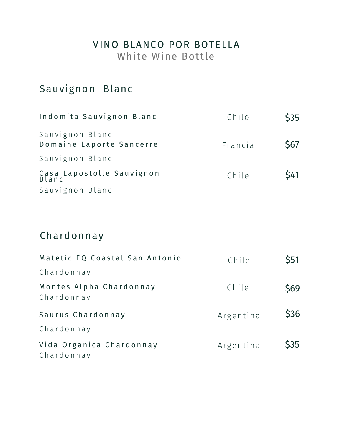# VINO BLANCO POR BOTELLA

White Wine Bottle

# Sauvignon Blanc

| Indomita Sauvignon Blanc                    | Chile   | \$35        |
|---------------------------------------------|---------|-------------|
| Sauvignon Blanc<br>Domaine Laporte Sancerre | Francia | <b>\$67</b> |
| Sauvignon Blanc                             |         |             |
| Casa Lapostolle Sauvignon<br>Blanc          | Chile   | <b>\$41</b> |
| Sauvignon Blanc                             |         |             |

# Chardonnay

| Matetic EQ Coastal San Antonio         | Chile     | \$51 |
|----------------------------------------|-----------|------|
| Chardonnay                             |           |      |
| Montes Alpha Chardonnay<br>Chardonnay  | Chile     | \$69 |
| Saurus Chardonnay                      | Argentina | \$36 |
| Chardonnay                             |           |      |
| Vida Organica Chardonnay<br>Chardonnay | Argentina | \$35 |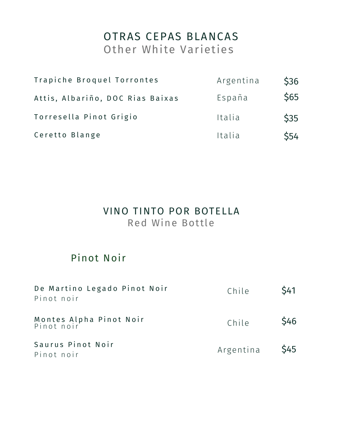# OTRAS CEPAS BLANCAS Other White Varieties

| Trapiche Broquel Torrontes       | Argentina | \$36 |
|----------------------------------|-----------|------|
| Attis, Albariño, DOC Rias Baixas | España    | \$65 |
| Torresella Pinot Grigio          | Italia    | \$35 |
| Ceretto Blange                   | Italia    | \$54 |

#### VINO TINTO POR BOTELLA Red Wine Bottle

## Pinot Noir

| De Martino Legado Pinot Noir<br>Pinot noir | Chile          | <b>S41</b>  |
|--------------------------------------------|----------------|-------------|
| Montes Alpha Pinot Noir<br>Pinot noir      | Chile          | <b>\$46</b> |
| Saurus Pinot Noir<br>Pinot noir            | Argentina \$45 |             |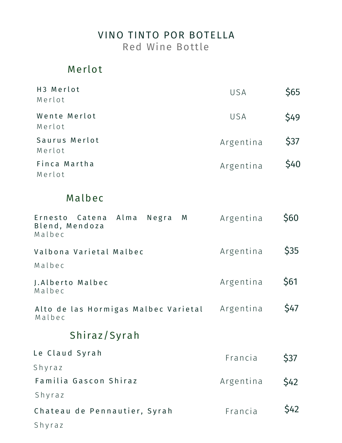#### VINO TINTO POR BOTELLA Red Wine Bottle

## Merlot

| H3 Merlot<br>Merlot     | USA       | \$65 |
|-------------------------|-----------|------|
| Wente Merlot<br>Merlot  | USA       | \$49 |
| Saurus Merlot<br>Merlot | Argentina | \$37 |
| Finca Martha<br>Merlot  | Argentina | \$40 |

## Malbec

| Ernesto Catena Alma<br>M<br>Negra<br>Blend, Mendoza<br>Malbec | Argentina | \$60 |
|---------------------------------------------------------------|-----------|------|
| Valbona Varietal Malbec<br>Malbec                             | Argentina | \$35 |
| J.Alberto Malbec<br>Malbec                                    | Argentina | \$61 |
| Alto de las Hormigas Malbec Varietal<br>Malbec                | Argentina | \$47 |
| Shiraz/Syrah                                                  |           |      |
| Le Claud Syrah<br>Shyraz                                      | Francia   | \$37 |
| Familia Gascon Shiraz                                         | Argentina | \$42 |
| Shyraz                                                        |           |      |
| Chateau de Pennautier, Syrah                                  | Francia   | \$42 |
| Shyraz                                                        |           |      |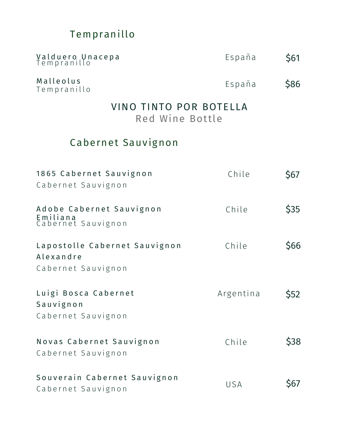# Tempranillo

| Valduero Unacepa<br>Tempranillo                                  | España    | \$61        |
|------------------------------------------------------------------|-----------|-------------|
| Malleolus<br>Tempranillo                                         | España    | \$86        |
| VINO TINTO POR BOTELLA<br>Red Wine Bottle                        |           |             |
| Cabernet Sauvignon                                               |           |             |
| 1865 Cabernet Sauvignon<br>Cabernet Sauvignon                    | Chile     | \$67        |
| Adobe Cabernet Sauvignon<br>Emiliana<br>Cabernet Sauvignon       | Chile     | \$35        |
| Lapostolle Cabernet Sauvignon<br>Alexandre<br>Cabernet Sauvignon | Chile     | \$66        |
| Luigi Bosca Cabernet<br>Sauvignon<br>Cabernet Sauvignon          | Argentina | \$52        |
| Novas Cabernet Sauvignon<br>Cabernet Sauvignon                   | Chile     | <b>\$38</b> |
| Souverain Cabernet Sauvignon<br>Cabernet Sauvignon               | USA       | \$67        |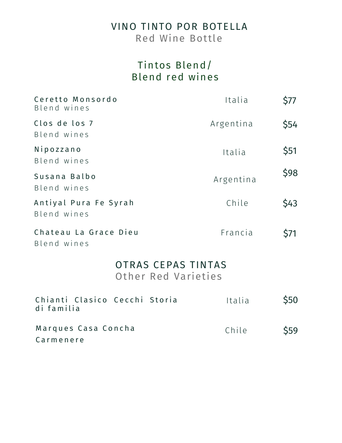## VINO TINTO POR BOTELLA

Red Wine Bottle

## Tintos Blend/ Blend red wines

| Ceretto Monsordo<br>Blend wines             |                                           | Italia    | \$77 |
|---------------------------------------------|-------------------------------------------|-----------|------|
| Clos de los 7<br>Blend wines                |                                           | Argentina | \$54 |
| Nipozzano<br>Blend wines                    |                                           | Italia    | \$51 |
| Susana Balbo<br>Blend wines                 |                                           | Argentina | \$98 |
| Antiyal Pura Fe Syrah<br>Blend wines        |                                           | Chile     | \$43 |
| Chateau La Grace Dieu<br>Blend wines        |                                           | Francia   | \$71 |
|                                             | OTRAS CEPAS TINTAS<br>Other Red Varieties |           |      |
| Chianti Clasico Cecchi Storia<br>di familia |                                           | Italia    | \$50 |
| Marques Casa Concha<br>Carmenere            |                                           | Chile     | \$59 |